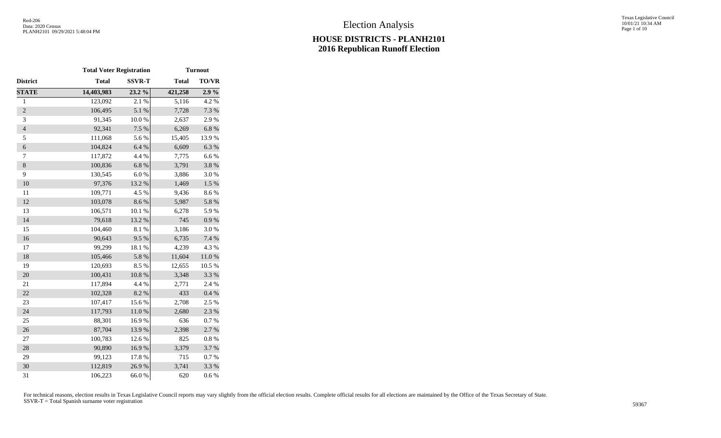Texas Legislative Council 10/01/21 10:34 AM Page 1 of 10

|                  | <b>Total Voter Registration</b> |               |              | <b>Turnout</b> |
|------------------|---------------------------------|---------------|--------------|----------------|
| District         | <b>Total</b>                    | <b>SSVR-T</b> | <b>Total</b> | TO/VR          |
| <b>STATE</b>     | 14,403,983                      | 23.2 %        | 421,258      | 2.9%           |
| $\mathbf{1}$     | 123,092                         | 2.1%          | 5,116        | 4.2 %          |
| $\overline{2}$   | 106,495                         | 5.1 %         | 7,728        | 7.3 %          |
| 3                | 91,345                          | 10.0%         | 2,637        | 2.9%           |
| $\overline{4}$   | 92,341                          | 7.5 %         | 6,269        | 6.8%           |
| 5                | 111,068                         | 5.6%          | 15,405       | 13.9%          |
| $\boldsymbol{6}$ | 104,824                         | 6.4 %         | 6,609        | 6.3%           |
| 7                | 117,872                         | 4.4 %         | 7,775        | 6.6%           |
| $\,$ 8 $\,$      | 100,836                         | 6.8%          | 3,791        | 3.8%           |
| 9                | 130,545                         | $6.0%$        | 3,886        | 3.0%           |
| 10               | 97,376                          | 13.2 %        | 1,469        | $1.5\%$        |
| 11               | 109,771                         | 4.5 %         | 9,436        | 8.6%           |
| 12               | 103,078                         | 8.6 %         | 5,987        | 5.8 %          |
| 13               | 106,571                         | 10.1 %        | 6,278        | 5.9%           |
| 14               | 79,618                          | 13.2 %        | 745          | $0.9\ \%$      |
| 15               | 104,460                         | 8.1 %         | 3,186        | 3.0%           |
| 16               | 90,643                          | 9.5%          | 6,735        | 7.4 %          |
| 17               | 99,299                          | 18.1 %        | 4,239        | 4.3%           |
| 18               | 105,466                         | 5.8%          | 11,604       | $11.0\ \%$     |
| 19               | 120,693                         | 8.5%          | 12,655       | 10.5 %         |
| 20               | 100,431                         | $10.8~\%$     | 3,348        | 3.3 %          |
| 21               | 117,894                         | 4.4 %         | 2,771        | 2.4 %          |
| 22               | 102,328                         | 8.2%          | 433          | 0.4 %          |
| 23               | 107,417                         | 15.6%         | 2,708        | 2.5 %          |
| 24               | 117,793                         | $11.0\ \%$    | 2,680        | 2.3 %          |
| 25               | 88,301                          | 16.9%         | 636          | 0.7%           |
| 26               | 87,704                          | 13.9%         | 2,398        | 2.7 %          |
| 27               | 100,783                         | 12.6 %        | 825          | 0.8 %          |
| 28               | 90,890                          | 16.9%         | 3,379        | 3.7 %          |
| 29               | 99,123                          | 17.8 %        | 715          | 0.7%           |
| 30               | 112,819                         | 26.9%         | 3,741        | 3.3 %          |
| 31               | 106,223                         | 66.0%         | 620          | 0.6%           |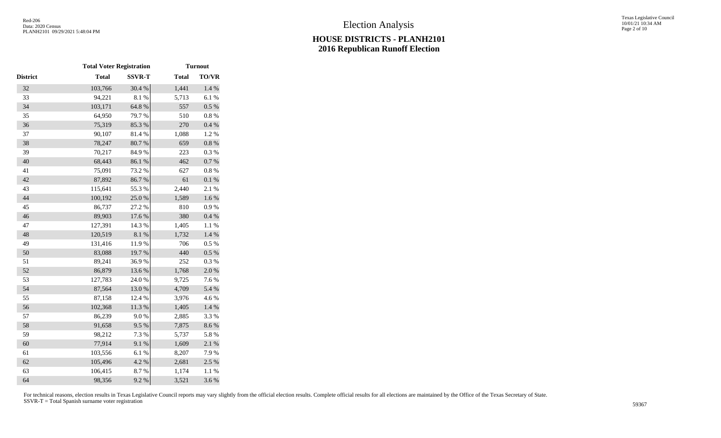|                 | <b>Total Voter Registration</b> |               | <b>Turnout</b> |              |  |  |
|-----------------|---------------------------------|---------------|----------------|--------------|--|--|
| <b>District</b> | <b>Total</b>                    | <b>SSVR-T</b> | <b>Total</b>   | <b>TO/VR</b> |  |  |
| 32              | 103,766                         | 30.4 %        | 1,441          | 1.4 %        |  |  |
| 33              | 94,221                          | $8.1~\%$      | 5,713          | 6.1%         |  |  |
| 34              | 103,171                         | 64.8 %        | 557            | $0.5~\%$     |  |  |
| 35              | 64,950                          | 79.7%         | 510            | $0.8~\%$     |  |  |
| 36              | 75,319                          | 85.3%         | 270            | 0.4%         |  |  |
| 37              | 90,107                          | 81.4%         | 1,088          | 1.2%         |  |  |
| 38              | 78,247                          | 80.7%         | 659            | $0.8~\%$     |  |  |
| 39              | 70,217                          | 84.9%         | 223            | $0.3~\%$     |  |  |
| 40              | 68,443                          | 86.1 %        | 462            | $0.7~\%$     |  |  |
| 41              | 75,091                          | 73.2 %        | 627            | $0.8~\%$     |  |  |
| 42              | 87,892                          | 86.7%         | 61             | $0.1~\%$     |  |  |
| 43              | 115,641                         | 55.3%         | 2,440          | 2.1 %        |  |  |
| 44              | 100,192                         | 25.0%         | 1,589          | 1.6 %        |  |  |
| 45              | 86,737                          | 27.2 %        | 810            | 0.9 %        |  |  |
| 46              | 89,903                          | 17.6%         | 380            | 0.4 %        |  |  |
| 47              | 127,391                         | 14.3 %        | 1,405          | $1.1~\%$     |  |  |
| 48              | 120,519                         | $8.1~\%$      | 1,732          | $1.4~\%$     |  |  |
| 49              | 131,416                         | 11.9%         | 706            | 0.5 %        |  |  |
| 50              | 83,088                          | 19.7%         | 440            | $0.5~\%$     |  |  |
| 51              | 89,241                          | 36.9%         | 252            | 0.3%         |  |  |
| 52              | 86,879                          | 13.6 %        | 1,768          | 2.0%         |  |  |
| 53              | 127,783                         | 24.0%         | 9,725          | 7.6%         |  |  |
| 54              | 87,564                          | 13.0%         | 4,709          | 5.4 %        |  |  |
| 55              | 87,158                          | 12.4 %        | 3,976          | 4.6%         |  |  |
| 56              | 102,368                         | $11.3\ \%$    | 1,405          | $1.4~\%$     |  |  |
| 57              | 86,239                          | $9.0\;\%$     | 2,885          | 3.3 %        |  |  |
| 58              | 91,658                          | 9.5%          | 7,875          | 8.6%         |  |  |
| 59              | 98,212                          | 7.3 %         | 5,737          | 5.8 %        |  |  |
| 60              | 77,914                          | 9.1%          | 1,609          | 2.1 %        |  |  |
| 61              | 103,556                         | 6.1 %         | 8,207          | 7.9%         |  |  |
| 62              | 105,496                         | 4.2 %         | 2,681          | 2.5 %        |  |  |
| 63              | 106,415                         | 8.7%          | 1,174          | 1.1 %        |  |  |
| 64              | 98,356                          | 9.2 %         | 3,521          | 3.6%         |  |  |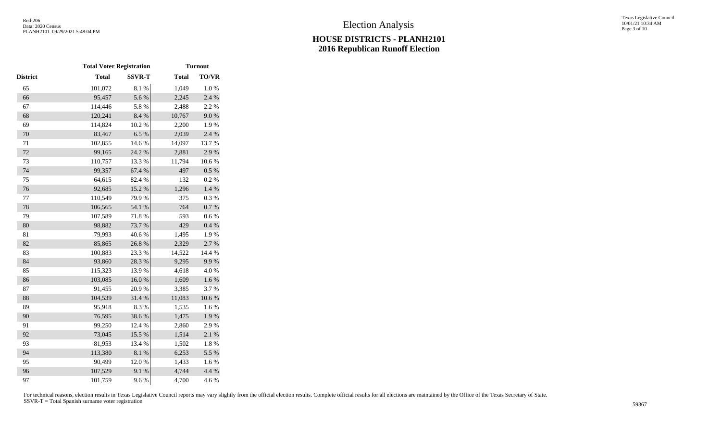|          | <b>Total Voter Registration</b> |               | <b>Turnout</b> |              |  |  |
|----------|---------------------------------|---------------|----------------|--------------|--|--|
| District | <b>Total</b>                    | <b>SSVR-T</b> | <b>Total</b>   | <b>TO/VR</b> |  |  |
| 65       | 101,072                         | 8.1 %         | 1,049          | $1.0\ \%$    |  |  |
| 66       | 95,457                          | 5.6%          | 2,245          | 2.4 %        |  |  |
| 67       | 114,446                         | 5.8 %         | 2,488          | 2.2 %        |  |  |
| 68       | 120,241                         | 8.4%          | 10,767         | 9.0%         |  |  |
| 69       | 114,824                         | $10.2~\%$     | 2,200          | 1.9%         |  |  |
| 70       | 83,467                          | 6.5%          | 2,039          | 2.4 %        |  |  |
| 71       | 102,855                         | 14.6 %        | 14,097         | 13.7%        |  |  |
| 72       | 99,165                          | 24.2 %        | 2,881          | 2.9%         |  |  |
| 73       | 110,757                         | 13.3 %        | 11,794         | 10.6%        |  |  |
| 74       | 99,357                          | 67.4 %        | 497            | 0.5 %        |  |  |
| 75       | 64,615                          | 82.4 %        | 132            | 0.2 %        |  |  |
| 76       | 92,685                          | 15.2 %        | 1,296          | 1.4 %        |  |  |
| 77       | 110,549                         | 79.9%         | 375            | 0.3%         |  |  |
| 78       | 106,565                         | 54.1 %        | 764            | 0.7 %        |  |  |
| 79       | 107,589                         | 71.8%         | 593            | 0.6 %        |  |  |
| 80       | 98,882                          | 73.7%         | 429            | 0.4 %        |  |  |
| 81       | 79,993                          | 40.6%         | 1,495          | 1.9%         |  |  |
| 82       | 85,865                          | 26.8%         | 2,329          | 2.7%         |  |  |
| 83       | 100,883                         | 23.3 %        | 14,522         | 14.4 %       |  |  |
| 84       | 93,860                          | 28.3 %        | 9,295          | 9.9%         |  |  |
| 85       | 115,323                         | 13.9%         | 4,618          | 4.0%         |  |  |
| 86       | 103,085                         | $16.0~\%$     | 1,609          | $1.6\ \%$    |  |  |
| 87       | 91,455                          | 20.9%         | 3,385          | 3.7%         |  |  |
| 88       | 104,539                         | 31.4 %        | 11,083         | $10.6\;\%$   |  |  |
| 89       | 95,918                          | 8.3%          | 1,535          | 1.6%         |  |  |
| 90       | 76,595                          | 38.6%         | 1,475          | 1.9%         |  |  |
| 91       | 99,250                          | 12.4 %        | 2,860          | 2.9%         |  |  |
| 92       | 73,045                          | 15.5 %        | 1,514          | 2.1 %        |  |  |
| 93       | 81,953                          | 13.4 %        | 1,502          | 1.8 %        |  |  |
| 94       | 113,380                         | 8.1 %         | 6,253          | 5.5 %        |  |  |
| 95       | 90,499                          | 12.0%         | 1,433          | 1.6%         |  |  |
| 96       | 107,529                         | 9.1%          | 4,744          | 4.4 %        |  |  |
| 97       | 101,759                         | 9.6 %         | 4,700          | 4.6%         |  |  |
|          |                                 |               |                |              |  |  |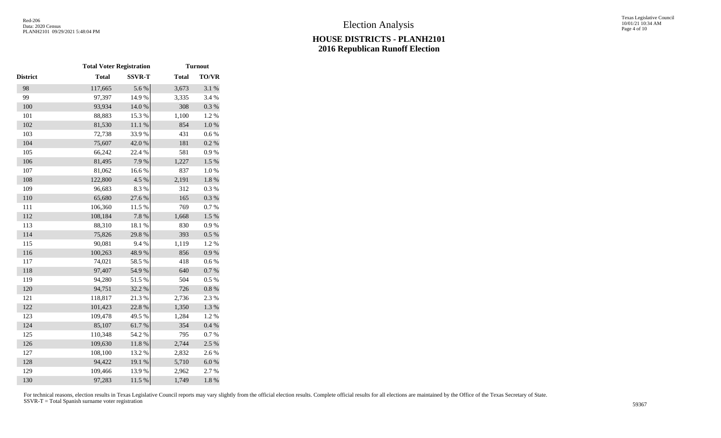|                 | <b>Total Voter Registration</b> |                  | <b>Turnout</b> |              |  |  |
|-----------------|---------------------------------|------------------|----------------|--------------|--|--|
| <b>District</b> | <b>Total</b>                    | <b>SSVR-T</b>    | <b>Total</b>   | <b>TO/VR</b> |  |  |
| 98              | 117,665                         | 5.6%             | 3,673          | 3.1 %        |  |  |
| 99              | 97,397                          | 14.9%            | 3,335          | 3.4 %        |  |  |
| 100             | 93,934                          | 14.0 %           | 308            | 0.3 %        |  |  |
| 101             | 88,883                          | 15.3 %           | 1,100          | 1.2%         |  |  |
| 102             | 81,530                          | $11.1\text{ }\%$ | 854            | $1.0\ \%$    |  |  |
| 103             | 72,738                          | 33.9%            | 431            | $0.6\ \%$    |  |  |
| 104             | 75,607                          | 42.0%            | 181            | 0.2 %        |  |  |
| 105             | 66,242                          | 22.4 %           | 581            | 0.9%         |  |  |
| 106             | 81,495                          | 7.9%             | 1,227          | 1.5 %        |  |  |
| 107             | 81,062                          | 16.6%            | 837            | $1.0\ \%$    |  |  |
| 108             | 122,800                         | 4.5 %            | 2,191          | $1.8\ \%$    |  |  |
| 109             | 96,683                          | 8.3%             | 312            | 0.3%         |  |  |
| 110             | 65,680                          | 27.6%            | 165            | $0.3~\%$     |  |  |
| 111             | 106,360                         | 11.5 %           | 769            | 0.7 %        |  |  |
| 112             | 108,184                         | 7.8 %            | 1,668          | $1.5 \%$     |  |  |
| 113             | 88,310                          | 18.1 %           | 830            | 0.9%         |  |  |
| 114             | 75,826                          | 29.8%            | 393            | 0.5 %        |  |  |
| 115             | 90,081                          | 9.4%             | 1,119          | 1.2%         |  |  |
| 116             | 100,263                         | 48.9%            | 856            | 0.9 %        |  |  |
| 117             | 74,021                          | 58.5 %           | 418            | 0.6 %        |  |  |
| 118             | 97,407                          | 54.9%            | 640            | $0.7~\%$     |  |  |
| 119             | 94,280                          | 51.5%            | 504            | 0.5%         |  |  |
| 120             | 94,751                          | 32.2 %           | 726            | $0.8~\%$     |  |  |
| 121             | 118,817                         | 21.3%            | 2,736          | 2.3 %        |  |  |
| 122             | 101,423                         | 22.8 %           | 1,350          | 1.3 %        |  |  |
| 123             | 109,478                         | 49.5 %           | 1,284          | 1.2%         |  |  |
| 124             | 85,107                          | 61.7%            | 354            | 0.4 %        |  |  |
| 125             | 110,348                         | 54.2 %           | 795            | $0.7~\%$     |  |  |
| 126             | 109,630                         | $11.8\ \%$       | 2,744          | 2.5 %        |  |  |
| 127             | 108,100                         | 13.2 %           | 2,832          | 2.6%         |  |  |
| 128             | 94,422                          | 19.1 %           | 5,710          | $6.0\ \%$    |  |  |
| 129             | 109,466                         | 13.9%            | 2,962          | 2.7%         |  |  |
| 130             | 97,283                          | 11.5 %           | 1,749          | 1.8 %        |  |  |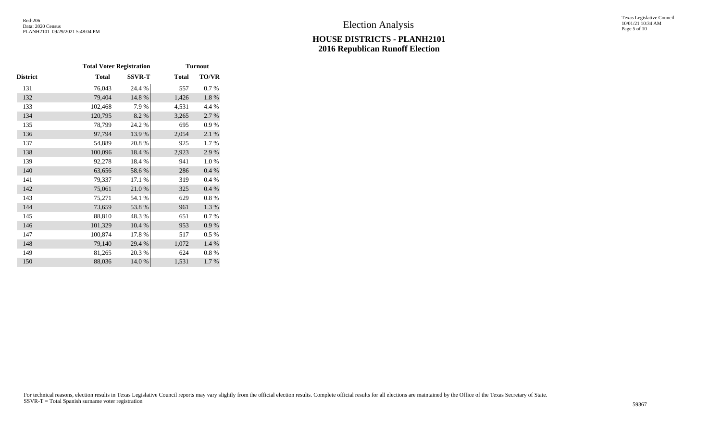Texas Legislative Council 10/01/21 10:34 AM Page 5 of 10

|         |               | <b>Turnout</b>                  |              |  |  |
|---------|---------------|---------------------------------|--------------|--|--|
| Total   | <b>SSVR-T</b> | <b>Total</b>                    | <b>TO/VR</b> |  |  |
| 76,043  | 24.4 %        | 557                             | 0.7 %        |  |  |
| 79,404  | 14.8%         | 1,426                           | 1.8%         |  |  |
| 102,468 | 7.9 %         | 4,531                           | 4.4 %        |  |  |
| 120,795 | 8.2%          | 3,265                           | 2.7 %        |  |  |
| 78,799  | 24.2 %        | 695                             | 0.9%         |  |  |
| 97,794  | 13.9%         | 2,054                           | 2.1 %        |  |  |
| 54,889  | 20.8%         | 925                             | 1.7%         |  |  |
| 100,096 | 18.4 %        | 2,923                           | 2.9%         |  |  |
| 92,278  | 18.4 %        | 941                             | 1.0%         |  |  |
| 63,656  | 58.6%         | 286                             | 0.4 %        |  |  |
| 79,337  | 17.1 %        | 319                             | 0.4%         |  |  |
| 75,061  | $21.0\ \%$    | 325                             | 0.4 %        |  |  |
| 75,271  | 54.1 %        | 629                             | 0.8 %        |  |  |
| 73,659  | 53.8%         | 961                             | 1.3%         |  |  |
| 88,810  | 48.3%         | 651                             | 0.7 %        |  |  |
| 101,329 | 10.4 %        | 953                             | 0.9 %        |  |  |
| 100,874 | 17.8%         | 517                             | 0.5%         |  |  |
| 79,140  | 29.4 %        | 1,072                           | 1.4 %        |  |  |
| 81,265  | 20.3 %        | 624                             | $0.8\ \%$    |  |  |
| 88,036  | 14.0%         | 1,531                           | 1.7%         |  |  |
|         |               | <b>Total Voter Registration</b> |              |  |  |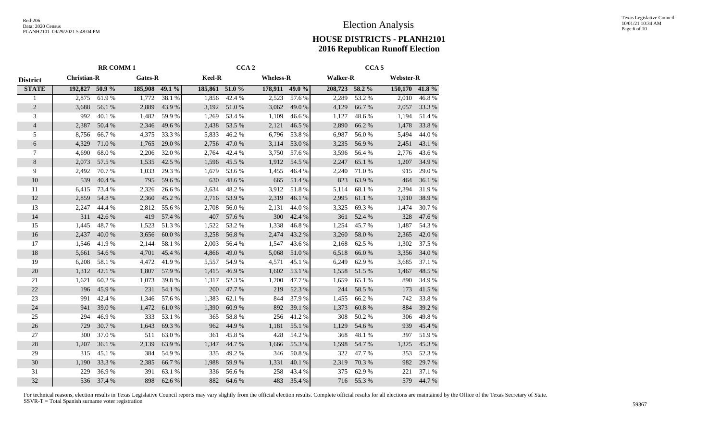|                 |                    | <b>RR COMM1</b> |         | CCA <sub>2</sub> |                |        | CCA <sub>5</sub> |        |                 |           |                  |        |
|-----------------|--------------------|-----------------|---------|------------------|----------------|--------|------------------|--------|-----------------|-----------|------------------|--------|
| <b>District</b> | <b>Christian-R</b> |                 | Gates-R |                  | Keel-R         |        | <b>Wheless-R</b> |        | <b>Walker-R</b> |           | <b>Webster-R</b> |        |
| <b>STATE</b>    | 192,827 50.9 %     |                 | 185,908 | 49.1 %           | 185,861 51.0 % |        | 178,911 49.0 %   |        | 208,723 58.2 %  |           | 150,170 41.8 %   |        |
|                 | 2,875              | 61.9%           | 1,772   | 38.1 %           | 1,856          | 42.4 % | 2,523            | 57.6%  | 2,289           | 53.2 %    | 2,010            | 46.8%  |
| $\overline{2}$  | 3,688              | 56.1 %          | 2,889   | 43.9%            | 3,192          | 51.0%  | 3,062            | 49.0%  | 4,129           | 66.7%     | 2,057            | 33.3 % |
| 3               | 992                | 40.1 %          | 1,482   | 59.9%            | 1,269          | 53.4 % | 1,109            | 46.6%  | 1,127           | 48.6%     | 1,194            | 51.4 % |
| $\overline{4}$  | 2,387              | 50.4 %          | 2,346   | 49.6%            | 2,438          | 53.5 % | 2,121            | 46.5%  | 2,890           | 66.2%     | 1,478            | 33.8%  |
| 5               | 8,756              | 66.7%           | 4,375   | 33.3%            | 5,833          | 46.2%  | 6,796            | 53.8%  | 6,987           | 56.0%     | 5,494            | 44.0%  |
| 6               | 4,329              | 71.0 %          | 1,765   | 29.0%            | 2,756          | 47.0%  | 3,114            | 53.0%  | 3,235           | 56.9%     | 2,451            | 43.1 % |
| 7               | 4,690              | 68.0%           | 2,206   | 32.0%            | 2,764          | 42.4 % | 3,750            | 57.6 % | 3,596           | 56.4%     | 2,776            | 43.6 % |
| 8               | 2,073              | 57.5 %          | 1,535   | 42.5 %           | 1,596          | 45.5 % | 1,912            | 54.5 % | 2,247           | 65.1 %    | 1,207            | 34.9%  |
| 9               | 2,492              | 70.7%           | 1,033   | 29.3 %           | 1,679          | 53.6%  | 1,455            | 46.4%  | 2,240           | 71.0%     | 915              | 29.0%  |
| 10              | 539                | 40.4 %          | 795     | 59.6%            | 630            | 48.6%  | 665              | 51.4 % | 823             | 63.9%     | 464              | 36.1 % |
| 11              | 6,415              | 73.4 %          | 2,326   | 26.6%            | 3,634          | 48.2%  | 3,912            | 51.8%  | 5,114           | 68.1 %    | 2,394            | 31.9%  |
| 12              | 2,859              | 54.8%           | 2,360   | 45.2%            | 2,716          | 53.9%  | 2,319            | 46.1%  | 2,995           | 61.1%     | 1,910            | 38.9%  |
| 13              | 2,247              | 44.4 %          | 2,812   | 55.6%            | 2,708          | 56.0%  | 2,131            | 44.0%  | 3,325           | 69.3%     | 1,474            | 30.7%  |
| 14              | 311                | 42.6%           | 419     | 57.4 %           | 407            | 57.6%  | 300              | 42.4 % | 361             | 52.4 %    | 328              | 47.6%  |
| 15              | 1,445              | 48.7%           | 1,523   | 51.3%            | 1,522          | 53.2%  | 1,338            | 46.8%  | 1,254           | 45.7%     | 1,487            | 54.3 % |
| 16              | 2,437              | 40.0%           | 3,656   | 60.0%            | 3,258          | 56.8%  | 2,474            | 43.2 % | 3,260           | 58.0%     | 2,365            | 42.0 % |
| 17              | 1,546              | 41.9%           | 2,144   | 58.1 %           | 2,003          | 56.4%  | 1,547            | 43.6%  | 2,168           | 62.5 %    | 1,302            | 37.5 % |
| 18              | 5,661              | 54.6 %          | 4,701   | 45.4 %           | 4,866          | 49.0 % | 5,068            | 51.0%  | 6,518           | 66.0%     | 3,356            | 34.0 % |
| 19              | 6,208              | 58.1 %          | 4,472   | 41.9%            | 5,557          | 54.9%  | 4,571            | 45.1 % | 6,249           | 62.9%     | 3,685            | 37.1 % |
| 20              | 1,312              | 42.1 %          | 1,807   | 57.9%            | 1,415          | 46.9%  | 1,602            | 53.1 % | 1,558           | 51.5 %    | 1,467            | 48.5 % |
| 21              | 1,621              | 60.2%           | 1,073   | 39.8%            | 1,317          | 52.3%  | 1,200            | 47.7%  | 1,659           | 65.1 %    | 890              | 34.9%  |
| 22              | 196                | 45.9%           | 231     | 54.1 %           | 200            | 47.7%  | 219              | 52.3 % | 244             | 58.5 %    | 173              | 41.5 % |
| 23              | 991                | 42.4 %          | 1,346   | 57.6%            | 1,383          | 62.1 % | 844              | 37.9%  | 1,455           | 66.2%     | 742              | 33.8%  |
| 24              | 941                | 39.0%           | 1,472   | 61.0%            | 1,390          | 60.9%  | 892              | 39.1 % | 1,373           | $60.8~\%$ | 884              | 39.2 % |
| 25              | 294                | 46.9%           | 333     | 53.1 %           | 365            | 58.8%  | 256              | 41.2%  | 308             | 50.2 %    | 306              | 49.8%  |
| 26              | 729                | 30.7%           | 1,643   | 69.3%            | 962            | 44.9 % | 1,181            | 55.1 % | 1,129           | 54.6 %    | 939              | 45.4 % |
| 27              | 300                | 37.0%           | 511     | 63.0%            | 361            | 45.8%  | 428              | 54.2 % | 368             | 48.1 %    | 397              | 51.9%  |
| 28              | 1,207              | 36.1 %          | 2,139   | 63.9%            | 1,347          | 44.7 % | 1,666            | 55.3%  | 1,598           | 54.7%     | 1,325            | 45.3%  |
| 29              | 315                | 45.1 %          | 384     | 54.9%            | 335            | 49.2 % | 346              | 50.8%  | 322             | 47.7%     | 353              | 52.3 % |
| 30              | 1,190              | 33.3%           | 2,385   | 66.7%            | 1,988          | 59.9%  | 1,331            | 40.1 % | 2,319           | 70.3 %    | 982              | 29.7 % |
| 31              | 229                | 36.9%           | 391     | 63.1 %           | 336            | 56.6%  | 258              | 43.4 % | 375             | 62.9%     | 221              | 37.1 % |
| 32              | 536                | 37.4 %          | 898     | 62.6%            | 882            | 64.6%  | 483              | 35.4 % | 716             | 55.3%     | 579              | 44.7%  |
|                 |                    |                 |         |                  |                |        |                  |        |                 |           |                  |        |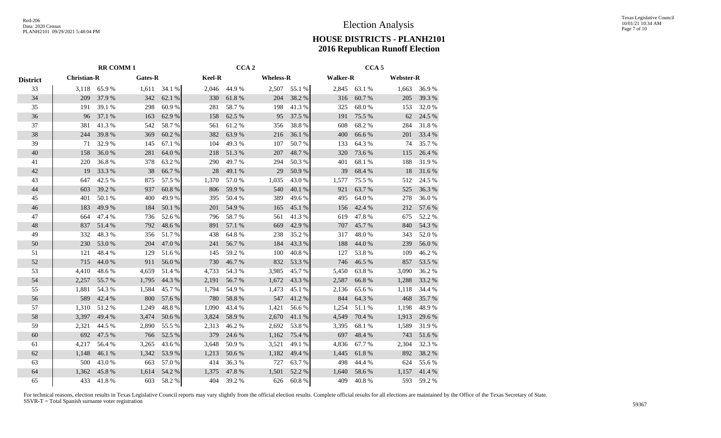|                 |                    | <b>RR COMM1</b> |         | CCA <sub>2</sub> |        |        | CCA <sub>5</sub> |        |       |                                     |       |        |
|-----------------|--------------------|-----------------|---------|------------------|--------|--------|------------------|--------|-------|-------------------------------------|-------|--------|
| <b>District</b> | <b>Christian-R</b> |                 | Gates-R |                  | Keel-R |        | <b>Wheless-R</b> |        |       | <b>Walker-R</b><br><b>Webster-R</b> |       |        |
| 33              | 3,118              | 65.9%           | 1,611   | 34.1 %           | 2,046  | 44.9%  | 2,507            | 55.1 % | 2,845 | 63.1 %                              | 1,663 | 36.9%  |
| 34              | 209                | 37.9 %          | 342     | 62.1 %           | 330    | 61.8%  | 204              | 38.2%  | 316   | 60.7%                               | 205   | 39.3 % |
| 35              | 191                | 39.1 %          | 298     | 60.9%            | 281    | 58.7%  | 198              | 41.3%  | 325   | 68.0%                               | 153   | 32.0%  |
| 36              | 96                 | 37.1 %          | 163     | 62.9%            | 158    | 62.5 % | 95               | 37.5 % | 191   | 75.5 %                              | 62    | 24.5 % |
| 37              | 381                | 41.3%           | 542     | 58.7%            | 561    | 61.2%  | 356              | 38.8%  | 608   | 68.2%                               | 284   | 31.8%  |
| 38              | 244                | 39.8%           | 369     | 60.2%            | 382    | 63.9%  | 216              | 36.1 % | 400   | 66.6%                               | 201   | 33.4 % |
| 39              | 71                 | 32.9 %          | 145     | 67.1 %           | 104    | 49.3%  | 107              | 50.7%  | 133   | 64.3 %                              | 74    | 35.7 % |
| 40              | 158                | 36.0%           | 281     | 64.0%            | 218    | 51.3%  | 207              | 48.7%  | 320   | 73.6 %                              | 115   | 26.4 % |
| 41              | 220                | 36.8%           | 378     | 63.2%            | 290    | 49.7%  | 294              | 50.3 % | 401   | 68.1%                               | 188   | 31.9%  |
| 42              | 19                 | 33.3 %          | 38      | 66.7%            | 28     | 49.1 % | 29               | 50.9%  | 39    | 68.4%                               | 18    | 31.6 % |
| 43              | 647                | 42.5 %          | 875     | 57.5 %           | 1,370  | 57.0%  | 1,035            | 43.0%  | 1,577 | 75.5 %                              | 512   | 24.5 % |
| 44              | 603                | 39.2 %          | 937     | 60.8%            | 806    | 59.9%  | 540              | 40.1 % | 921   | 63.7%                               | 525   | 36.3%  |
| 45              | 401                | 50.1 %          | 400     | 49.9%            | 395    | 50.4 % | 389              | 49.6%  | 495   | 64.0%                               | 278   | 36.0%  |
| 46              | 183                | 49.9%           | 184     | 50.1 %           | 201    | 54.9%  | 165              | 45.1 % | 156   | 42.4 %                              | 212   | 57.6 % |
| 47              | 664                | 47.4 %          | 736     | 52.6 %           | 796    | 58.7%  | 561              | 41.3%  | 619   | 47.8%                               | 675   | 52.2 % |
| 48              | 837                | 51.4 %          | 792     | 48.6%            | 891    | 57.1 % | 669              | 42.9%  | 707   | 45.7%                               | 840   | 54.3 % |
| 49              | 332                | 48.3%           | 356     | 51.7%            | 438    | 64.8%  | 238              | 35.2%  | 317   | 48.0%                               | 343   | 52.0%  |
| 50              | 230                | 53.0%           | 204     | 47.0%            | 241    | 56.7%  | 184              | 43.3%  | 188   | 44.0%                               | 239   | 56.0%  |
| 51              | 121                | 48.4%           | 129     | 51.6%            | 145    | 59.2%  | 100              | 40.8%  | 127   | 53.8%                               | 109   | 46.2%  |
| 52              | 715                | 44.0 %          | 911     | 56.0%            | 730    | 46.7%  | 832              | 53.3 % | 746   | 46.5 %                              | 857   | 53.5 % |
| 53              | 4,410              | 48.6%           | 4,659   | 51.4 %           | 4,733  | 54.3 % | 3,985            | 45.7%  | 5,450 | 63.8%                               | 3,090 | 36.2 % |
| 54              | 2,257              | 55.7%           | 1,795   | 44.3 %           | 2,191  | 56.7%  | 1,672            | 43.3 % | 2,587 | 66.8%                               | 1,288 | 33.2 % |
| 55              | 1,881              | 54.3 %          | 1,584   | 45.7%            | 1,794  | 54.9%  | 1,473            | 45.1 % | 2,136 | 65.6%                               | 1,118 | 34.4 % |
| 56              | 589                | 42.4 %          | 800     | 57.6 %           | 780    | 58.8%  | 547              | 41.2%  | 844   | 64.3 %                              | 468   | 35.7%  |
| 57              | 1,310              | 51.2%           | 1,249   | 48.8%            | 1,090  | 43.4 % | 1,421            | 56.6%  | 1,254 | 51.1%                               | 1,198 | 48.9%  |
| 58              | 3,397              | 49.4 %          | 3,474   | 50.6%            | 3,824  | 58.9%  | 2,670            | 41.1%  | 4,549 | 70.4 %                              | 1,913 | 29.6 % |
| 59              | 2,321              | 44.5 %          | 2,890   | 55.5 %           | 2,313  | 46.2%  | 2,692            | 53.8%  | 3,395 | 68.1%                               | 1,589 | 31.9%  |
| 60              | 692                | 47.5 %          | 766     | 52.5 %           | 379    | 24.6 % | 1,162            | 75.4 % | 697   | 48.4 %                              | 743   | 51.6%  |
| 61              | 4,217              | 56.4 %          | 3,265   | 43.6 %           | 3,648  | 50.9%  | 3,521            | 49.1 % | 4,836 | 67.7 %                              | 2,304 | 32.3 % |
| 62              | 1,148              | 46.1%           | 1,342   | 53.9%            | 1,213  | 50.6%  | 1,182            | 49.4 % | 1,445 | 61.8%                               | 892   | 38.2%  |
| 63              | 500                | 43.0%           | 663     | 57.0%            | 414    | 36.3%  | 727              | 63.7%  | 498   | 44.4 %                              | 624   | 55.6%  |
| 64              | 1,362              | 45.8%           | 1,614   | 54.2 %           | 1,375  | 47.8 % | 1,501            | 52.2%  | 1,640 | 58.6%                               | 1,157 | 41.4 % |
| 65              | 433                | 41.8%           | 603     | 58.2%            | 404    | 39.2 % | 626              | 60.8%  | 409   | 40.8%                               | 593   | 59.2%  |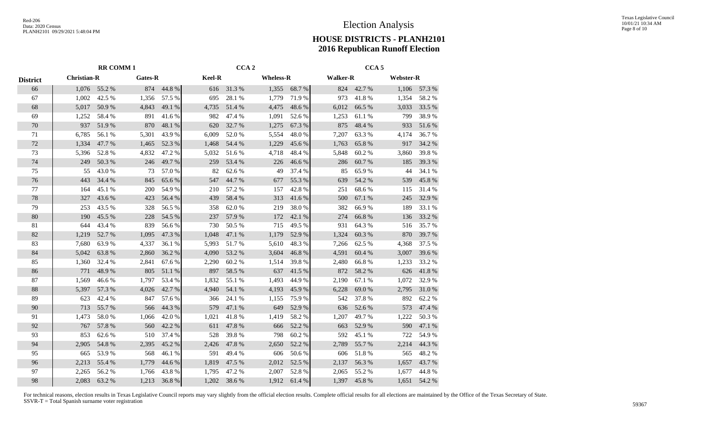|                 | <b>RR COMM1</b>    |        |         |        |        | CCA <sub>2</sub> |                  |        | CCA <sub>5</sub> |                  |       |                  |  |
|-----------------|--------------------|--------|---------|--------|--------|------------------|------------------|--------|------------------|------------------|-------|------------------|--|
| <b>District</b> | <b>Christian-R</b> |        | Gates-R |        | Keel-R |                  | <b>Wheless-R</b> |        | <b>Walker-R</b>  |                  |       | <b>Webster-R</b> |  |
| 66              | 1,076              | 55.2 % | 874     | 44.8%  | 616    | 31.3%            | 1,355            | 68.7%  | 824              | 42.7 %           | 1,106 | 57.3 %           |  |
| 67              | 1,002              | 42.5 % | 1,356   | 57.5 % | 695    | 28.1 %           | 1,779            | 71.9%  | 973              | 41.8%            | 1,354 | 58.2%            |  |
| 68              | 5,017              | 50.9%  | 4,843   | 49.1 % | 4,735  | 51.4 %           | 4,475            | 48.6%  | 6,012            | 66.5 %           | 3,033 | 33.5 %           |  |
| 69              | 1,252              | 58.4%  | 891     | 41.6%  | 982    | 47.4 %           | 1,091            | 52.6 % | 1,253            | $61.1\text{ }\%$ | 799   | 38.9%            |  |
| 70              | 937                | 51.9%  | 870     | 48.1 % | 620    | 32.7 %           | 1,275            | 67.3 % | 875              | 48.4 %           | 933   | 51.6%            |  |
| 71              | 6,785              | 56.1%  | 5,301   | 43.9%  | 6,009  | 52.0%            | 5,554            | 48.0%  | 7,207            | 63.3%            | 4,174 | 36.7%            |  |
| 72              | 1,334              | 47.7%  | 1,465   | 52.3 % | 1,468  | 54.4 %           | 1,229            | 45.6%  | 1,763            | 65.8%            | 917   | 34.2 %           |  |
| 73              | 5,396              | 52.8%  | 4,832   | 47.2 % | 5,032  | 51.6%            | 4,718            | 48.4%  | 5,848            | 60.2%            | 3,860 | 39.8%            |  |
| 74              | 249                | 50.3%  | 246     | 49.7%  | 259    | 53.4 %           | 226              | 46.6%  | 286              | 60.7%            | 185   | 39.3 %           |  |
| 75              | 55                 | 43.0%  | 73      | 57.0 % | 82     | 62.6%            | 49               | 37.4 % | 85               | 65.9%            | 44    | 34.1 %           |  |
| 76              | 443                | 34.4 % | 845     | 65.6%  | 547    | 44.7 %           | 677              | 55.3 % | 639              | 54.2 %           | 539   | 45.8%            |  |
| 77              | 164                | 45.1 % | 200     | 54.9%  | 210    | 57.2 %           | 157              | 42.8%  | 251              | 68.6%            | 115   | 31.4 %           |  |
| 78              | 327                | 43.6 % | 423     | 56.4 % | 439    | 58.4%            | 313              | 41.6%  | 500              | 67.1 %           | 245   | 32.9 %           |  |
| 79              | 253                | 43.5 % | 328     | 56.5 % | 358    | 62.0%            | 219              | 38.0%  | 382              | 66.9%            | 189   | 33.1 %           |  |
| 80              | 190                | 45.5 % | 228     | 54.5 % | 237    | 57.9%            | 172              | 42.1 % | 274              | 66.8%            | 136   | 33.2 %           |  |
| 81              | 644                | 43.4 % | 839     | 56.6%  | 730    | 50.5 %           | 715              | 49.5 % | 931              | 64.3%            | 516   | 35.7%            |  |
| 82              | 1,219              | 52.7%  | 1,095   | 47.3 % | 1,048  | 47.1 %           | 1,179            | 52.9%  | 1,324            | 60.3%            | 870   | 39.7%            |  |
| 83              | 7,680              | 63.9%  | 4,337   | 36.1 % | 5,993  | 51.7%            | 5,610            | 48.3%  | 7,266            | 62.5 %           | 4,368 | 37.5 %           |  |
| 84              | 5,042              | 63.8%  | 2,860   | 36.2%  | 4,090  | 53.2 %           | 3,604            | 46.8%  | 4,591            | 60.4 %           | 3,007 | 39.6 %           |  |
| 85              | 1,360              | 32.4 % | 2,841   | 67.6 % | 2,290  | 60.2%            | 1,514            | 39.8%  | 2,480            | 66.8%            | 1,233 | 33.2 %           |  |
| 86              | 771                | 48.9%  | 805     | 51.1 % | 897    | 58.5 %           | 637              | 41.5 % | 872              | 58.2%            | 626   | 41.8%            |  |
| 87              | 1,569              | 46.6%  | 1,797   | 53.4 % | 1,832  | 55.1 %           | 1,493            | 44.9%  | 2,190            | 67.1 %           | 1,072 | 32.9%            |  |
| 88              | 5,397              | 57.3 % | 4,026   | 42.7 % | 4,940  | 54.1 %           | 4,193            | 45.9%  | 6,228            | 69.0%            | 2,795 | 31.0%            |  |
| 89              | 623                | 42.4 % | 847     | 57.6 % | 366    | 24.1 %           | 1,155            | 75.9%  | 542              | 37.8%            | 892   | 62.2 %           |  |
| 90              | 713                | 55.7%  | 566     | 44.3 % | 579    | 47.1 %           | 649              | 52.9 % | 636              | 52.6 %           | 573   | 47.4 %           |  |
| 91              | 1,473              | 58.0%  | 1,066   | 42.0%  | 1,021  | 41.8%            | 1,419            | 58.2 % | 1,207            | 49.7%            | 1,222 | 50.3 %           |  |
| 92              | 767                | 57.8 % | 560     | 42.2 % | 611    | 47.8%            | 666              | 52.2 % | 663              | 52.9%            | 590   | 47.1 %           |  |
| 93              | 853                | 62.6 % | 510     | 37.4 % | 528    | 39.8%            | 798              | 60.2%  | 592              | 45.1 %           | 722   | 54.9%            |  |
| 94              | 2,905              | 54.8%  | 2,395   | 45.2 % | 2,426  | 47.8%            | 2,650            | 52.2 % | 2,789            | 55.7%            | 2,214 | 44.3 %           |  |
| 95              | 665                | 53.9%  | 568     | 46.1%  | 591    | 49.4 %           | 606              | 50.6%  | 606              | 51.8%            | 565   | 48.2%            |  |
| 96              | 2,213              | 55.4 % | 1,779   | 44.6%  | 1,819  | 47.5 %           | 2,012            | 52.5 % | 2,137            | 56.3%            | 1,657 | 43.7%            |  |
| 97              | 2,265              | 56.2%  | 1,766   | 43.8%  | 1,795  | 47.2 %           | 2,007            | 52.8%  | 2,065            | 55.2%            | 1,677 | 44.8%            |  |
| 98              | 2,083              | 63.2 % | 1,213   | 36.8%  | 1,202  | 38.6%            | 1,912            | 61.4%  |                  | 1,397 45.8 %     | 1,651 | 54.2 %           |  |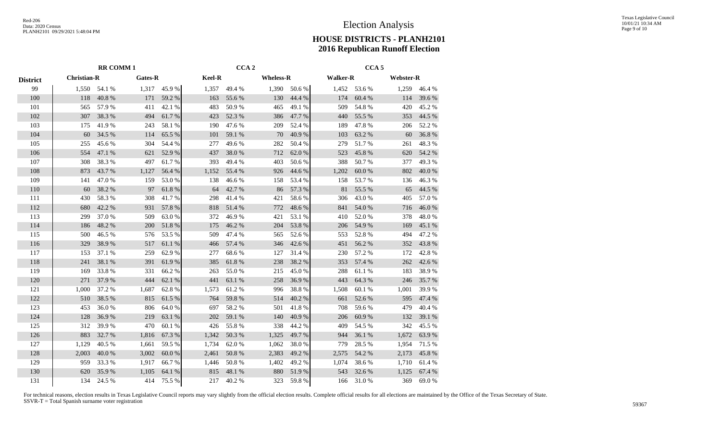|                 |                    | <b>RR COMM1</b> |         | CCA <sub>2</sub> |               |        | CCA <sub>5</sub> |        |                 |        |                  |        |
|-----------------|--------------------|-----------------|---------|------------------|---------------|--------|------------------|--------|-----------------|--------|------------------|--------|
| <b>District</b> | <b>Christian-R</b> |                 | Gates-R |                  | <b>Keel-R</b> |        | <b>Wheless-R</b> |        | <b>Walker-R</b> |        | <b>Webster-R</b> |        |
| 99              | 1,550              | 54.1 %          | 1,317   | 45.9%            | 1,357         | 49.4 % | 1,390            | 50.6 % | 1,452           | 53.6 % | 1,259            | 46.4 % |
| 100             | 118                | 40.8%           | 171     | 59.2 %           | 163           | 55.6%  | 130              | 44.4 % | 174             | 60.4 % | 114              | 39.6 % |
| 101             | 565                | 57.9 %          | 411     | 42.1 %           | 483           | 50.9%  | 465              | 49.1 % | 509             | 54.8%  | 420              | 45.2 % |
| 102             | 307                | 38.3%           | 494     | 61.7%            | 423           | 52.3 % | 386              | 47.7 % | 440             | 55.5 % | 353              | 44.5 % |
| 103             | 175                | 41.9%           | 243     | 58.1%            | 190           | 47.6%  | 209              | 52.4 % | 189             | 47.8%  | 206              | 52.2 % |
| 104             | 60                 | 34.5 %          | 114     | 65.5%            | 101           | 59.1 % | 70               | 40.9%  | 103             | 63.2%  | 60               | 36.8%  |
| 105             | 255                | 45.6%           | 304     | 54.4 %           | 277           | 49.6%  | 282              | 50.4 % | 279             | 51.7%  | 261              | 48.3%  |
| 106             | 554                | 47.1 %          | 621     | 52.9%            | 437           | 38.0%  | 712              | 62.0%  | 523             | 45.8%  | 620              | 54.2 % |
| 107             | 308                | 38.3%           | 497     | 61.7%            | 393           | 49.4 % | 403              | 50.6%  | 388             | 50.7%  | 377              | 49.3%  |
| 108             | 873                | 43.7%           | 1,127   | 56.4 %           | 1,152         | 55.4 % | 926              | 44.6 % | 1,202           | 60.0%  | 802              | 40.0%  |
| 109             | 141                | 47.0%           | 159     | 53.0%            | 138           | 46.6%  | 158              | 53.4 % | 158             | 53.7%  | 136              | 46.3%  |
| 110             | 60                 | 38.2%           | 97      | 61.8%            | 64            | 42.7%  | 86               | 57.3 % | 81              | 55.5 % | 65               | 44.5 % |
| 111             | 430                | 58.3%           | 308     | 41.7%            | 298           | 41.4%  | 421              | 58.6%  | 306             | 43.0%  | 405              | 57.0%  |
| 112             | 680                | 42.2 %          | 931     | 57.8 %           | 818           | 51.4%  | 772              | 48.6%  | 841             | 54.0 % | 716              | 46.0%  |
| 113             | 299                | 37.0%           | 509     | 63.0%            | 372           | 46.9%  | 421              | 53.1 % | 410             | 52.0%  | 378              | 48.0%  |
| 114             | 186                | 48.2%           | 200     | 51.8%            | 175           | 46.2%  | 204              | 53.8%  | 206             | 54.9%  | 169              | 45.1 % |
| 115             | 500                | 46.5 %          | 576     | 53.5 %           | 509           | 47.4 % | 565              | 52.6%  | 553             | 52.8%  | 494              | 47.2 % |
| 116             | 329                | 38.9%           | 517     | 61.1 %           | 466           | 57.4 % | 346              | 42.6 % | 451             | 56.2%  | 352              | 43.8%  |
| 117             | 153                | 37.1 %          | 259     | 62.9%            | 277           | 68.6%  | 127              | 31.4 % | 230             | 57.2 % | 172              | 42.8%  |
| 118             | 241                | 38.1 %          | 391     | 61.9%            | 385           | 61.8%  | 238              | 38.2 % | 353             | 57.4 % | 262              | 42.6 % |
| 119             | 169                | 33.8%           | 331     | 66.2%            | 263           | 55.0%  | 215              | 45.0%  | 288             | 61.1%  | 183              | 38.9%  |
| 120             | 271                | 37.9%           | 444     | 62.1 %           | 441           | 63.1 % | 258              | 36.9%  | 443             | 64.3 % | 246              | 35.7%  |
| 121             | 1,000              | 37.2 %          | 1,687   | 62.8%            | 1,573         | 61.2%  | 996              | 38.8%  | 1,508           | 60.1%  | 1,001            | 39.9%  |
| 122             | 510                | 38.5 %          | 815     | 61.5 %           | 764           | 59.8%  | 514              | 40.2 % | 661             | 52.6 % | 595              | 47.4 % |
| 123             | 453                | 36.0%           | 806     | 64.0%            | 697           | 58.2%  | 501              | 41.8%  | 708             | 59.6%  | 479              | 40.4 % |
| 124             | 128                | 36.9%           | 219     | 63.1 %           | 202           | 59.1 % | 140              | 40.9%  | 206             | 60.9%  | 132              | 39.1 % |
| 125             | 312                | 39.9%           | 470     | 60.1%            | 426           | 55.8%  | 338              | 44.2 % | 409             | 54.5 % | 342              | 45.5 % |
| 126             | 883                | 32.7%           | 1,816   | 67.3 %           | 1,342         | 50.3 % | 1,325            | 49.7%  | 944             | 36.1 % | 1,672            | 63.9%  |
| 127             | 1,129              | 40.5 %          | 1,661   | 59.5 %           | 1,734         | 62.0%  | 1,062            | 38.0%  | 779             | 28.5 % | 1,954            | 71.5 % |
| 128             | 2,003              | 40.0%           | 3,002   | 60.0%            | 2,461         | 50.8 % | 2,383            | 49.2 % | 2,575           | 54.2 % | 2,173            | 45.8%  |
| 129             | 959                | 33.3 %          | 1,917   | 66.7%            | 1,446         | 50.8%  | 1,402            | 49.2%  | 1,074           | 38.6 % | 1,710            | 61.4%  |
| 130             | 620                | 35.9%           | 1,105   | 64.1 %           | 815           | 48.1 % | 880              | 51.9%  | 543             | 32.6%  | 1,125            | 67.4 % |
| 131             | 134                | 24.5 %          | 414     | 75.5 %           | 217           | 40.2 % | 323              | 59.8%  | 166             | 31.0%  | 369              | 69.0%  |